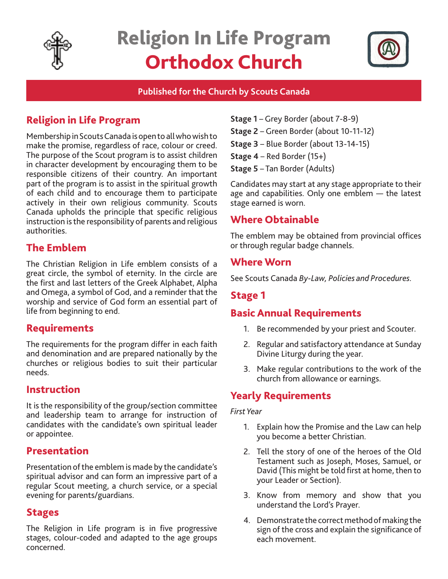

# Religion In Life Program Orthodox Church



#### **Published for the Church by Scouts Canada**

# Religion in Life Program

Membership in Scouts Canada is open to all who wish to make the promise, regardless of race, colour or creed. The purpose of the Scout program is to assist children in character development by encouraging them to be responsible citizens of their country. An important part of the program is to assist in the spiritual growth of each child and to encourage them to participate actively in their own religious community. Scouts Canada upholds the principle that specific religious instruction is the responsibility of parents and religious authorities.

# The Emblem

The Christian Religion in Life emblem consists of a great circle, the symbol of eternity. In the circle are the first and last letters of the Greek Alphabet, Alpha and Omega, a symbol of God, and a reminder that the worship and service of God form an essential part of life from beginning to end.

## Requirements

The requirements for the program differ in each faith and denomination and are prepared nationally by the churches or religious bodies to suit their particular needs.

#### Instruction

It is the responsibility of the group/section committee and leadership team to arrange for instruction of candidates with the candidate's own spiritual leader or appointee.

## Presentation

Presentation of the emblem is made by the candidate's spiritual advisor and can form an impressive part of a regular Scout meeting, a church service, or a special evening for parents/guardians.

#### Stages

The Religion in Life program is in five progressive stages, colour-coded and adapted to the age groups concerned.

- **Stage 1**  Grey Border (about 7-8-9)
- **Stage 2** Green Border (about 10-11-12)
- **Stage 3** Blue Border (about 13-14-15)
- **Stage 4** Red Border (15+)
- **Stage 5** Tan Border (Adults)

Candidates may start at any stage appropriate to their age and capabilities. Only one emblem — the latest stage earned is worn.

# Where Obtainable

The emblem may be obtained from provincial offices or through regular badge channels.

#### Where Worn

See Scouts Canada *By-Law, Policies and Procedures.* 

## Stage 1

## Basic Annual Requirements

- 1. Be recommended by your priest and Scouter.
- 2. Regular and satisfactory attendance at Sunday Divine Liturgy during the year.
- 3. Make regular contributions to the work of the church from allowance or earnings.

# Yearly Requirements

#### *First Year*

- 1. Explain how the Promise and the Law can help you become a better Christian.
- 2. Tell the story of one of the heroes of the Old Testament such as Joseph, Moses, Samuel, or David (This might be told first at home, then to your Leader or Section).
- 3. Know from memory and show that you understand the Lord's Prayer.
- 4. Demonstrate the correct method of making the sign of the cross and explain the significance of each movement.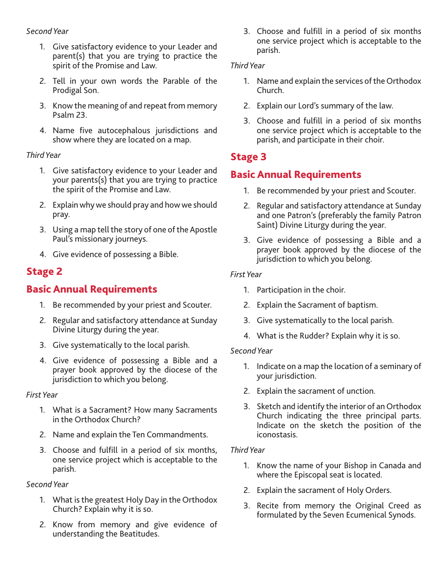#### *Second Year*

- 1. Give satisfactory evidence to your Leader and parent(s) that you are trying to practice the spirit of the Promise and Law.
- 2. Tell in your own words the Parable of the Prodigal Son.
- 3. Know the meaning of and repeat from memory Psalm 23.
- 4. Name five autocephalous jurisdictions and show where they are located on a map.

#### *Third Year*

- 1. Give satisfactory evidence to your Leader and your parents(s) that you are trying to practice the spirit of the Promise and Law.
- 2. Explain why we should pray and how we should pray.
- 3. Using a map tell the story of one of the Apostle Paul's missionary journeys.
- 4. Give evidence of possessing a Bible.

# Stage 2

# Basic Annual Requirements

- 1. Be recommended by your priest and Scouter.
- 2. Regular and satisfactory attendance at Sunday Divine Liturgy during the year.
- 3. Give systematically to the local parish.
- 4. Give evidence of possessing a Bible and a prayer book approved by the diocese of the jurisdiction to which you belong.

#### *First Year*

- 1. What is a Sacrament? How many Sacraments in the Orthodox Church?
- 2. Name and explain the Ten Commandments.
- 3. Choose and fulfill in a period of six months, one service project which is acceptable to the parish.

#### *Second Year*

- 1. What is the greatest Holy Day in the Orthodox Church? Explain why it is so.
- 2. Know from memory and give evidence of understanding the Beatitudes.

3. Choose and fulfill in a period of six months one service project which is acceptable to the parish.

#### *Third Year*

- 1. Name and explain the services of the Orthodox Church.
- 2. Explain our Lord's summary of the law.
- 3. Choose and fulfill in a period of six months one service project which is acceptable to the parish, and participate in their choir.

# Stage 3

# Basic Annual Requirements

- 1. Be recommended by your priest and Scouter.
- 2. Regular and satisfactory attendance at Sunday and one Patron's (preferably the family Patron Saint) Divine Liturgy during the year.
- 3. Give evidence of possessing a Bible and a prayer book approved by the diocese of the jurisdiction to which you belong.

#### *First Year*

- 1. Participation in the choir.
- 2. Explain the Sacrament of baptism.
- 3. Give systematically to the local parish.
- 4. What is the Rudder? Explain why it is so.

#### *Second Year*

- 1. Indicate on a map the location of a seminary of your jurisdiction.
- 2. Explain the sacrament of unction.
- 3. Sketch and identify the interior of an Orthodox Church indicating the three principal parts. Indicate on the sketch the position of the iconostasis.

#### *Third Year*

- 1. Know the name of your Bishop in Canada and where the Episcopal seat is located.
- 2. Explain the sacrament of Holy Orders.
- 3. Recite from memory the Original Creed as formulated by the Seven Ecumenical Synods.